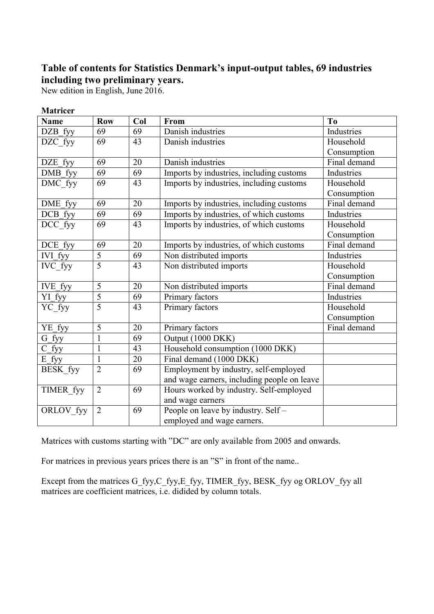## **Table of contents for Statistics Denmark's input-output tables, 69 industries including two preliminary years.**

New edition in English, June 2016.

| <b>Matricer</b>       |                |     |                                             |              |
|-----------------------|----------------|-----|---------------------------------------------|--------------|
| <b>Name</b>           | <b>Row</b>     | Col | From                                        | To           |
| DZB fyy               | 69             | 69  | Danish industries                           | Industries   |
| DZC_fyy               | 69             | 43  | Danish industries                           | Household    |
|                       |                |     |                                             | Consumption  |
| DZE fyy               | 69             | 20  | Danish industries                           | Final demand |
| DMB fyy               | 69             | 69  | Imports by industries, including customs    | Industries   |
| DMC_fyy               | 69             | 43  | Imports by industries, including customs    | Household    |
|                       |                |     |                                             | Consumption  |
| DME fyy               | 69             | 20  | Imports by industries, including customs    | Final demand |
| $\overline{DCB}$ _fyy | 69             | 69  | Imports by industries, of which customs     | Industries   |
| DCC_fyy               | 69             | 43  | Imports by industries, of which customs     | Household    |
|                       |                |     |                                             | Consumption  |
| DCE_fyy               | 69             | 20  | Imports by industries, of which customs     | Final demand |
| IVI_fyy               | 5              | 69  | Non distributed imports                     | Industries   |
| IVC_fyy               | $\overline{5}$ | 43  | Non distributed imports                     | Household    |
|                       |                |     |                                             | Consumption  |
| IVE_fyy               | 5              | 20  | Non distributed imports                     | Final demand |
| YI fyy                | $\overline{5}$ | 69  | Primary factors                             | Industries   |
| YC_fyy                | 5              | 43  | Primary factors                             | Household    |
|                       |                |     |                                             | Consumption  |
| YE_fyy                | $\overline{5}$ | 20  | Primary factors                             | Final demand |
| $G_fyy$               | $\mathbf{1}$   | 69  | Output (1000 DKK)                           |              |
| $C_fyy$               | $\mathbf{1}$   | 43  | Household consumption (1000 DKK)            |              |
| $E_fyy$               | $\mathbf{1}$   | 20  | Final demand (1000 DKK)                     |              |
| BESK_fyy              | $\overline{2}$ | 69  | Employment by industry, self-employed       |              |
|                       |                |     | and wage earners, including people on leave |              |
| TIMER_fyy             | $\overline{2}$ | 69  | Hours worked by industry. Self-employed     |              |
|                       |                |     | and wage earners                            |              |
| ORLOV_fyy             | $\overline{2}$ | 69  | People on leave by industry. Self-          |              |
|                       |                |     | employed and wage earners.                  |              |

Matrices with customs starting with "DC" are only available from 2005 and onwards.

For matrices in previous years prices there is an "S" in front of the name..

Except from the matrices G\_fyy,C\_fyy,E\_fyy, TIMER\_fyy, BESK\_fyy og ORLOV\_fyy all matrices are coefficient matrices, i.e. didided by column totals.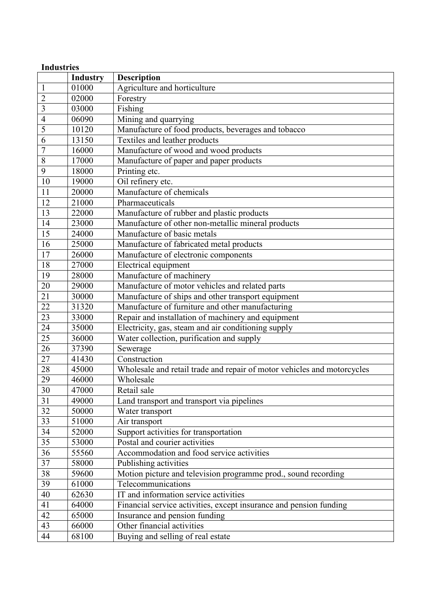| <b>Industries</b>       |                 |                                                                         |  |
|-------------------------|-----------------|-------------------------------------------------------------------------|--|
|                         | <b>Industry</b> | <b>Description</b>                                                      |  |
| $\mathbf{1}$            | 01000           | Agriculture and horticulture                                            |  |
| $\overline{2}$          | 02000           | Forestry                                                                |  |
| $\overline{\mathbf{3}}$ | 03000           | Fishing                                                                 |  |
| 4                       | 06090           | Mining and quarrying                                                    |  |
| 5                       | 10120           | Manufacture of food products, beverages and tobacco                     |  |
| 6                       | 13150           | Textiles and leather products                                           |  |
| $\overline{7}$          | 16000           | Manufacture of wood and wood products                                   |  |
| 8                       | 17000           | Manufacture of paper and paper products                                 |  |
| 9                       | 18000           | Printing etc.                                                           |  |
| 10                      | 19000           | Oil refinery etc.                                                       |  |
| 11                      | 20000           | Manufacture of chemicals                                                |  |
| 12                      | 21000           | Pharmaceuticals                                                         |  |
| 13                      | 22000           | Manufacture of rubber and plastic products                              |  |
| 14                      | 23000           | Manufacture of other non-metallic mineral products                      |  |
| 15                      | 24000           | Manufacture of basic metals                                             |  |
| $\overline{16}$         | 25000           | Manufacture of fabricated metal products                                |  |
| 17                      | 26000           | Manufacture of electronic components                                    |  |
|                         |                 |                                                                         |  |
| 18                      | 27000           | Electrical equipment                                                    |  |
| 19                      | 28000           | Manufacture of machinery                                                |  |
| 20                      | 29000           | Manufacture of motor vehicles and related parts                         |  |
| $\overline{21}$         | 30000           | Manufacture of ships and other transport equipment                      |  |
| 22                      | 31320           | Manufacture of furniture and other manufacturing                        |  |
| $\overline{23}$         | 33000           | Repair and installation of machinery and equipment                      |  |
| 24                      | 35000           | Electricity, gas, steam and air conditioning supply                     |  |
| 25                      | 36000           | Water collection, purification and supply                               |  |
| 26                      | 37390           | Sewerage                                                                |  |
| 27                      | 41430           | Construction                                                            |  |
| 28                      | 45000           | Wholesale and retail trade and repair of motor vehicles and motorcycles |  |
| 29                      | 46000           | Wholesale                                                               |  |
| 30                      | 47000           | Retail sale                                                             |  |
| 31                      | 49000           | Land transport and transport via pipelines                              |  |
| $\overline{32}$         | 50000           | Water transport                                                         |  |
| $\overline{33}$         | 51000           | Air transport                                                           |  |
| 34                      | 52000           | Support activities for transportation                                   |  |
| 35                      | 53000           | Postal and courier activities                                           |  |
| 36                      | 55560           | Accommodation and food service activities                               |  |
| $\overline{37}$         | 58000           | Publishing activities                                                   |  |
| 38                      | 59600           | Motion picture and television programme prod., sound recording          |  |
| 39                      | 61000           | Telecommunications                                                      |  |
| 40                      | 62630           | IT and information service activities                                   |  |
| 41                      | 64000           | Financial service activities, except insurance and pension funding      |  |
| 42                      | 65000           | Insurance and pension funding                                           |  |
| 43                      | 66000           | Other financial activities                                              |  |
|                         |                 |                                                                         |  |
| 44                      | 68100           | Buying and selling of real estate                                       |  |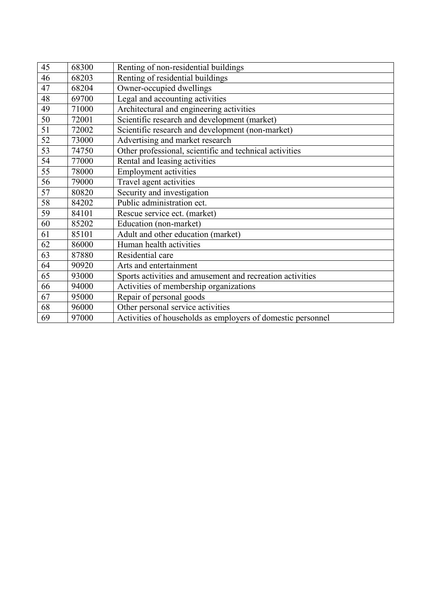| 45 | 68300 | Renting of non-residential buildings                        |
|----|-------|-------------------------------------------------------------|
| 46 | 68203 | Renting of residential buildings                            |
| 47 | 68204 | Owner-occupied dwellings                                    |
| 48 | 69700 | Legal and accounting activities                             |
| 49 | 71000 | Architectural and engineering activities                    |
| 50 | 72001 | Scientific research and development (market)                |
| 51 | 72002 | Scientific research and development (non-market)            |
| 52 | 73000 | Advertising and market research                             |
| 53 | 74750 | Other professional, scientific and technical activities     |
| 54 | 77000 | Rental and leasing activities                               |
| 55 | 78000 | <b>Employment activities</b>                                |
| 56 | 79000 | Travel agent activities                                     |
| 57 | 80820 | Security and investigation                                  |
| 58 | 84202 | Public administration ect.                                  |
| 59 | 84101 | Rescue service ect. (market)                                |
| 60 | 85202 | Education (non-market)                                      |
| 61 | 85101 | Adult and other education (market)                          |
| 62 | 86000 | Human health activities                                     |
| 63 | 87880 | Residential care                                            |
| 64 | 90920 | Arts and entertainment                                      |
| 65 | 93000 | Sports activities and amusement and recreation activities   |
| 66 | 94000 | Activities of membership organizations                      |
| 67 | 95000 | Repair of personal goods                                    |
| 68 | 96000 | Other personal service activities                           |
| 69 | 97000 | Activities of households as employers of domestic personnel |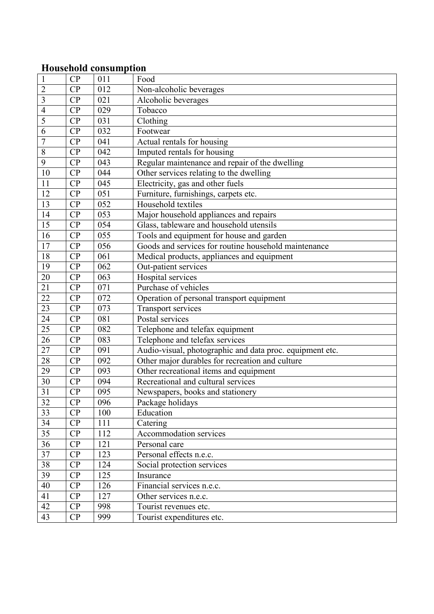#### **Household consumption**

| $\mathbf{1}$    | CP | 011 | Food                                                     |
|-----------------|----|-----|----------------------------------------------------------|
| $\overline{2}$  | CP | 012 | Non-alcoholic beverages                                  |
| $\overline{3}$  | CP | 021 | Alcoholic beverages                                      |
| $\overline{4}$  | CP | 029 | Tobacco                                                  |
| 5               | CP | 031 | Clothing                                                 |
| 6               | CP | 032 | Footwear                                                 |
| $\overline{7}$  | CP | 041 | Actual rentals for housing                               |
| $\,8\,$         | CP | 042 | Imputed rentals for housing                              |
| 9               | CP | 043 | Regular maintenance and repair of the dwelling           |
| 10              | CP | 044 | Other services relating to the dwelling                  |
| 11              | CP | 045 | Electricity, gas and other fuels                         |
| 12              | CP | 051 | Furniture, furnishings, carpets etc.                     |
| 13              | CP | 052 | Household textiles                                       |
| 14              | CP | 053 | Major household appliances and repairs                   |
| 15              | CP | 054 | Glass, tableware and household utensils                  |
| 16              | CP | 055 | Tools and equipment for house and garden                 |
| $\overline{17}$ | CP | 056 | Goods and services for routine household maintenance     |
| 18              | CP | 061 | Medical products, appliances and equipment               |
| 19              | CP | 062 | Out-patient services                                     |
| 20              | CP | 063 | Hospital services                                        |
| 21              | CP | 071 | Purchase of vehicles                                     |
| 22              | CP | 072 | Operation of personal transport equipment                |
| 23              | CP | 073 | <b>Transport services</b>                                |
| 24              | CP | 081 | Postal services                                          |
| 25              | CP | 082 | Telephone and telefax equipment                          |
| 26              | CP | 083 | Telephone and telefax services                           |
| 27              | CP | 091 | Audio-visual, photographic and data proc. equipment etc. |
| 28              | CP | 092 | Other major durables for recreation and culture          |
| 29              | CP | 093 | Other recreational items and equipment                   |
| 30              | CP | 094 | Recreational and cultural services                       |
| 31              | CP | 095 | Newspapers, books and stationery                         |
| $\overline{32}$ | CP | 096 | Package holidays                                         |
| 33              | CP | 100 | Education                                                |
| 34              | CP | 111 | Catering                                                 |
| 35              | CP | 112 | Accommodation services                                   |
| 36              | CP | 121 | Personal care                                            |
| 37              | CP | 123 | Personal effects n.e.c.                                  |
| 38              | CP | 124 | Social protection services                               |
| 39              | CP | 125 | Insurance                                                |
| 40              | CP | 126 | Financial services n.e.c.                                |
| 41              | CP | 127 | Other services n.e.c.                                    |
| 42              | CP | 998 | Tourist revenues etc.                                    |
| 43              | CP | 999 | Tourist expenditures etc.                                |